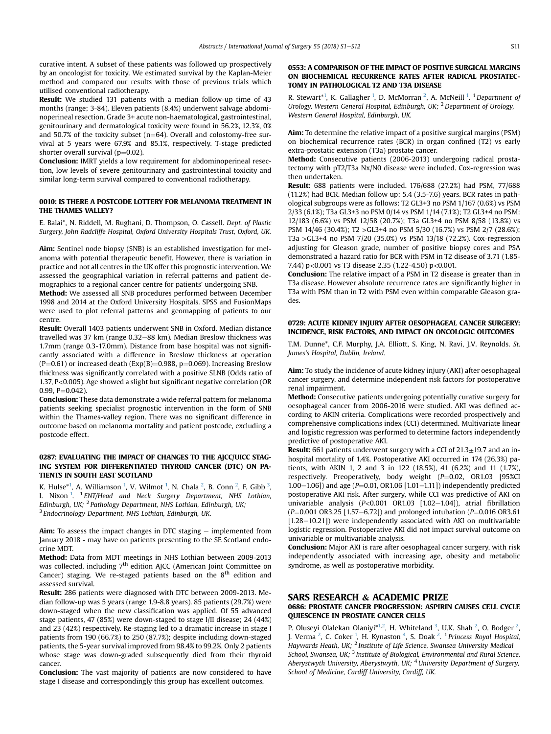curative intent. A subset of these patients was followed up prospectively by an oncologist for toxicity. We estimated survival by the Kaplan-Meier method and compared our results with those of previous trials which utilised conventional radiotherapy.

Result: We studied 131 patients with a median follow-up time of 43 months (range; 3-84). Eleven patients (8.4%) underwent salvage abdominoperineal resection. Grade 3+ acute non-haematological, gastrointestinal, genitourinary and dermatological toxicity were found in 56.2%, 12.3%, 0% and 50.7% of the toxicity subset (n=64). Overall and colostomy-free survival at 5 years were 67.9% and 85.1%, respectively. T-stage predicted shorter overall survival ( $p=0.02$ ).

Conclusion: IMRT yields a low requirement for abdominoperineal resection, low levels of severe genitourinary and gastrointestinal toxicity and similar long-term survival compared to conventional radiotherapy.

## 0010: IS THERE A POSTCODE LOTTERY FOR MELANOMA TREATMENT IN THE THAMES VALLEY?

E. Balai\*, N. Riddell, M. Rughani, D. Thompson, O. Cassell. Dept. of Plastic Surgery, John Radcliffe Hospital, Oxford University Hospitals Trust, Oxford, UK.

Aim: Sentinel node biopsy (SNB) is an established investigation for melanoma with potential therapeutic benefit. However, there is variation in practice and not all centres in the UK offer this prognostic intervention. We assessed the geographical variation in referral patterns and patient demographics to a regional cancer centre for patients' undergoing SNB.

Method: We assessed all SNB procedures performed between December 1998 and 2014 at the Oxford University Hospitals. SPSS and FusionMaps were used to plot referral patterns and geomapping of patients to our centre.

Result: Overall 1403 patients underwent SNB in Oxford. Median distance travelled was 37 km (range  $0.32-88$  km). Median Breslow thickness was 1.7mm (range 0.3-17.0mm). Distance from base hospital was not significantly associated with a difference in Breslow thickness at operation (P=0.61) or increased death (Exp(B)=0.988, p=0.069). Increasing Breslow thickness was significantly correlated with a positive SLNB (Odds ratio of 1.37, P<0.005). Age showed a slight but significant negative correlation (OR  $0.99, P = 0.042$ ).

Conclusion: These data demonstrate a wide referral pattern for melanoma patients seeking specialist prognostic intervention in the form of SNB within the Thames-valley region. There was no significant difference in outcome based on melanoma mortality and patient postcode, excluding a postcode effect.

## 0287: EVALUATING THE IMPACT OF CHANGES TO THE AJCC/UICC STAG-ING SYSTEM FOR DIFFERENTIATED THYROID CANCER (DTC) ON PA-TIENTS IN SOUTH EAST SCOTLAND

K. Hulse $*^1$ , A. Williamson <sup>1</sup>, V. Wilmot <sup>1</sup>, N. Chala <sup>2</sup>, B. Conn <sup>2</sup>, F. Gibb <sup>3</sup>, I. Nixon <sup>1</sup>. <sup>1</sup> ENT/Head and Neck Surgery Department, NHS Lothian, Edinburgh, UK; <sup>2</sup> Pathology Department, NHS Lothian, Edinburgh, UK; <sup>3</sup> Endocrinology Department, NHS Lothian, Edinburgh, UK.

**Aim:** To assess the impact changes in DTC staging  $-$  implemented from January 2018 - may have on patients presenting to the SE Scotland endocrine MDT.

Method: Data from MDT meetings in NHS Lothian between 2009-2013 was collected, including 7<sup>th</sup> edition AJCC (American Joint Committee on Cancer) staging. We re-staged patients based on the  $8<sup>th</sup>$  edition and assessed survival.

Result: 286 patients were diagnosed with DTC between 2009-2013. Median follow-up was 5 years (range 1.9-8.8 years). 85 patients (29.7%) were down-staged when the new classification was applied. Of 55 advanced stage patients, 47 (85%) were down-staged to stage I/II disease; 24 (44%) and 23 (42%) respectively. Re-staging led to a dramatic increase in stage I patients from 190 (66.7%) to 250 (87.7%); despite including down-staged patients, the 5-year survival improved from 98.4% to 99.2%. Only 2 patients whose stage was down-graded subsequently died from their thyroid cancer.

Conclusion: The vast majority of patients are now considered to have stage I disease and correspondingly this group has excellent outcomes.

## 0553: A COMPARISON OF THE IMPACT OF POSITIVE SURGICAL MARGINS ON BIOCHEMICAL RECURRENCE RATES AFTER RADICAL PROSTATEC-TOMY IN PATHOLOGICAL T2 AND T3A DISEASE

R. Stewart<sup>\*1</sup>, K. Gallagher<sup>1</sup>, D. McMorran<sup>2</sup>, A. McNeill<sup>1</sup>. <sup>1</sup> Department oj Urology, Western General Hospital, Edinburgh, UK; <sup>2</sup> Department of Urology, Western General Hospital, Edinburgh, UK.

Aim: To determine the relative impact of a positive surgical margins (PSM) on biochemical recurrence rates (BCR) in organ confined (T2) vs early extra-prostatic extension (T3a) prostate cancer.

Method: Consecutive patients (2006-2013) undergoing radical prostatectomy with pT2/T3a Nx/N0 disease were included. Cox-regression was then undertaken.

Result: 688 patients were included. 176/688 (27.2%) had PSM, 77/688 (11.2%) had BCR. Median follow up: 5.4 (3.5-7.6) years. BCR rates in pathological subgroups were as follows: T2 GL3+3 no PSM 1/167 (0.6%) vs PSM 2/33 (6.1%); T3a GL3+3 no PSM 0/14 vs PSM 1/14 (7.1%); T2 GL3+4 no PSM: 12/183 (6.6%) vs PSM 12/58 (20.7%); T3a GL3+4 no PSM 8/58 (13.8%) vs PSM 14/46 (30.4%); T2 >GL3+4 no PSM 5/30 (16.7%) vs PSM 2/7 (28.6%); T3a >GL3+4 no PSM 7/20 (35.0%) vs PSM 13/18 (72.2%). Cox-regression adjusting for Gleason grade, number of positive biopsy cores and PSA demonstrated a hazard ratio for BCR with PSM in T2 disease of 3.71 (1.85- 7.44) p<0.001 vs T3 disease 2.35 (1.22-4.50) p<0.001.

Conclusion: The relative impact of a PSM in T2 disease is greater than in T3a disease. However absolute recurrence rates are significantly higher in T3a with PSM than in T2 with PSM even within comparable Gleason grades.

## 0729: ACUTE KIDNEY INJURY AFTER OESOPHAGEAL CANCER SURGERY: INCIDENCE, RISK FACTORS, AND IMPACT ON ONCOLOGIC OUTCOMES

T.M. Dunne\*, C.F. Murphy, J.A. Elliott, S. King, N. Ravi, J.V. Reynolds. St. James's Hospital, Dublin, Ireland.

Aim: To study the incidence of acute kidney injury (AKI) after oesophageal cancer surgery, and determine independent risk factors for postoperative renal impairment.

Method: Consecutive patients undergoing potentially curative surgery for oesophageal cancer from 2006-2016 were studied. AKI was defined according to AKIN criteria. Complications were recorded prospectively and comprehensive complications index (CCI) determined. Multivariate linear and logistic regression was performed to determine factors independently predictive of postoperative AKI.

**Result:** 661 patients underwent surgery with a CCI of  $21.3 \pm 19.7$  and an inhospital mortality of 1.4%. Postoperative AKI occurred in 174 (26.3%) patients, with AKIN 1, 2 and 3 in 122 (18.5%), 41 (6.2%) and 11 (1.7%), respectively. Preoperatively, body weight (P=0.02, OR1.03 [95%CI 1.00-1.06]) and age ( $P=0.01$ , OR1.06 [1.01-1.11]) independently predicted postoperative AKI risk. After surgery, while CCI was predictive of AKI on univariable analysis ( $P<0.001$  OR1.03 [1.02-1.04]), atrial fibrillation  $(P=0.001 \text{ OR}3.25 [1.57-6.72])$  and prolonged intubation ( $P=0.016 \text{ OR}3.61$ )  $[1.28-10.21]$ ) were independently associated with AKI on multivariable logistic regression. Postoperative AKI did not impact survival outcome on univariable or multivariable analysis.

Conclusion: Major AKI is rare after oesophageal cancer surgery, with risk independently associated with increasing age, obesity and metabolic syndrome, as well as postoperative morbidity.

## SARS RESEARCH & ACADEMIC PRIZE

# 0686: PROSTATE CANCER PROGRESSION: ASPIRIN CAUSES CELL CYCLE QUIESCENCE IN PROSTATE CANCER CELLS

P. Oluseyi Olalekan Olaniyi\*<sup>1,2</sup>, H. Whiteland <sup>3</sup>, U.K. Shah <sup>2</sup>, O. Bodger <sup>2</sup>,<br>J. Verma <sup>2</sup>, C. Coker <sup>1</sup>, H. Kynaston <sup>4</sup>, S. Doak <sup>2</sup>. <sup>1</sup> Princess Royal Hospital, Haywards Heath, UK; <sup>2</sup> Institute of Life Science, Swansea University Medical School, Swansea, UK; <sup>3</sup> Institute of Biological, Environmental and Rural Science, Aberystwyth University, Aberystwyth, UK; <sup>4</sup> University Department of Surgery, School of Medicine, Cardiff University, Cardiff, UK.